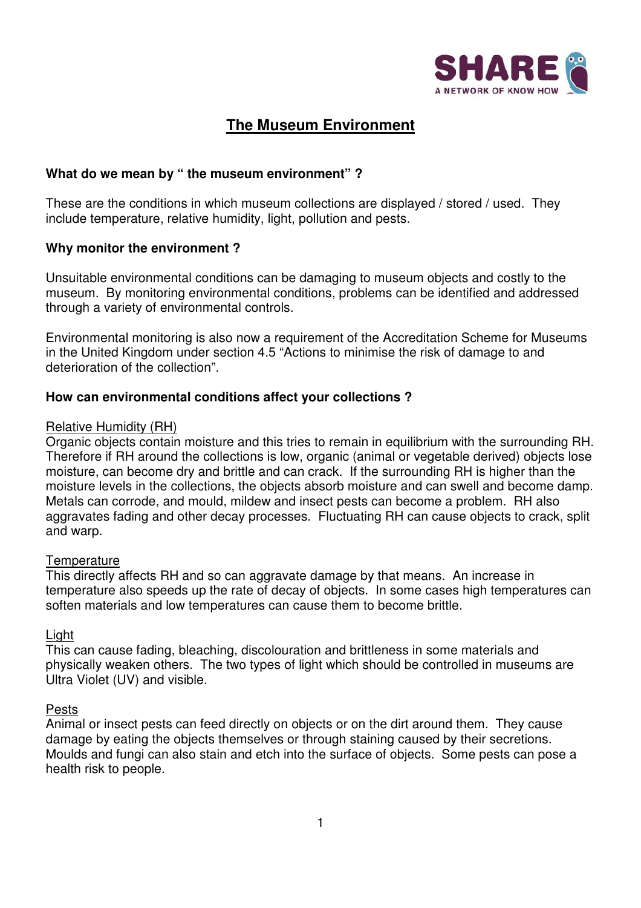

# **The Museum Environment**

### **What do we mean by " the museum environment" ?**

These are the conditions in which museum collections are displayed / stored / used. They include temperature, relative humidity, light, pollution and pests.

### **Why monitor the environment ?**

Unsuitable environmental conditions can be damaging to museum objects and costly to the museum. By monitoring environmental conditions, problems can be identified and addressed through a variety of environmental controls.

Environmental monitoring is also now a requirement of the Accreditation Scheme for Museums in the United Kingdom under section 4.5 "Actions to minimise the risk of damage to and deterioration of the collection".

### **How can environmental conditions affect your collections ?**

#### Relative Humidity (RH)

Organic objects contain moisture and this tries to remain in equilibrium with the surrounding RH. Therefore if RH around the collections is low, organic (animal or vegetable derived) objects lose moisture, can become dry and brittle and can crack. If the surrounding RH is higher than the moisture levels in the collections, the objects absorb moisture and can swell and become damp. Metals can corrode, and mould, mildew and insect pests can become a problem. RH also aggravates fading and other decay processes. Fluctuating RH can cause objects to crack, split and warp.

### **Temperature**

This directly affects RH and so can aggravate damage by that means. An increase in temperature also speeds up the rate of decay of objects. In some cases high temperatures can soften materials and low temperatures can cause them to become brittle.

### Light

This can cause fading, bleaching, discolouration and brittleness in some materials and physically weaken others. The two types of light which should be controlled in museums are Ultra Violet (UV) and visible.

### Pests

Animal or insect pests can feed directly on objects or on the dirt around them. They cause damage by eating the objects themselves or through staining caused by their secretions. Moulds and fungi can also stain and etch into the surface of objects. Some pests can pose a health risk to people.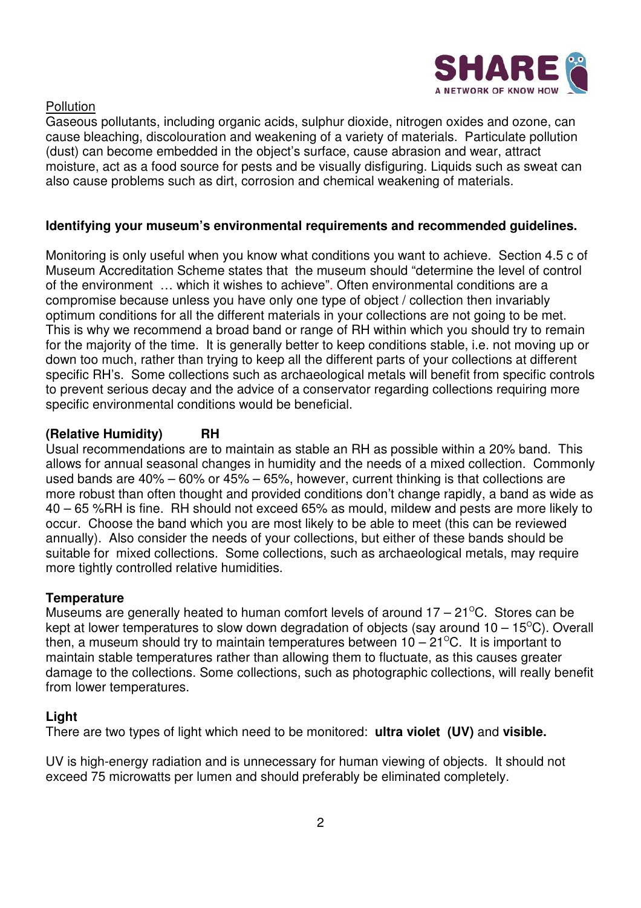

**Pollution** 

Gaseous pollutants, including organic acids, sulphur dioxide, nitrogen oxides and ozone, can cause bleaching, discolouration and weakening of a variety of materials. Particulate pollution (dust) can become embedded in the object's surface, cause abrasion and wear, attract moisture, act as a food source for pests and be visually disfiguring. Liquids such as sweat can also cause problems such as dirt, corrosion and chemical weakening of materials.

### **Identifying your museum's environmental requirements and recommended guidelines.**

Monitoring is only useful when you know what conditions you want to achieve. Section 4.5 c of Museum Accreditation Scheme states that the museum should "determine the level of control of the environment … which it wishes to achieve". Often environmental conditions are a compromise because unless you have only one type of object / collection then invariably optimum conditions for all the different materials in your collections are not going to be met. This is why we recommend a broad band or range of RH within which you should try to remain for the majority of the time. It is generally better to keep conditions stable, i.e. not moving up or down too much, rather than trying to keep all the different parts of your collections at different specific RH's. Some collections such as archaeological metals will benefit from specific controls to prevent serious decay and the advice of a conservator regarding collections requiring more specific environmental conditions would be beneficial.

## **(Relative Humidity) RH**

Usual recommendations are to maintain as stable an RH as possible within a 20% band. This allows for annual seasonal changes in humidity and the needs of a mixed collection. Commonly used bands are 40% – 60% or 45% – 65%, however, current thinking is that collections are more robust than often thought and provided conditions don't change rapidly, a band as wide as 40 – 65 %RH is fine. RH should not exceed 65% as mould, mildew and pests are more likely to occur. Choose the band which you are most likely to be able to meet (this can be reviewed annually). Also consider the needs of your collections, but either of these bands should be suitable for mixed collections. Some collections, such as archaeological metals, may require more tightly controlled relative humidities.

### **Temperature**

Museums are generally heated to human comfort levels of around  $17 - 21^{\circ}$ C. Stores can be kept at lower temperatures to slow down degradation of objects (say around  $10 - 15^{\circ}$ C). Overall then, a museum should try to maintain temperatures between  $10 - 21^{\circ}$ C. It is important to maintain stable temperatures rather than allowing them to fluctuate, as this causes greater damage to the collections. Some collections, such as photographic collections, will really benefit from lower temperatures.

## **Light**

There are two types of light which need to be monitored: **ultra violet (UV)** and **visible.**

UV is high-energy radiation and is unnecessary for human viewing of objects. It should not exceed 75 microwatts per lumen and should preferably be eliminated completely.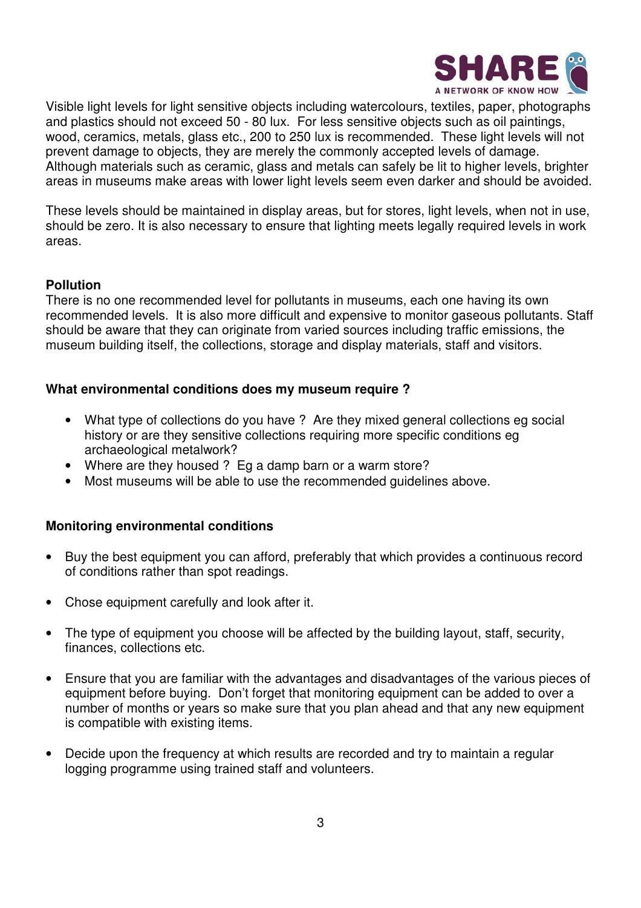

Visible light levels for light sensitive objects including watercolours, textiles, paper, photographs and plastics should not exceed 50 - 80 lux. For less sensitive objects such as oil paintings, wood, ceramics, metals, glass etc., 200 to 250 lux is recommended. These light levels will not prevent damage to objects, they are merely the commonly accepted levels of damage. Although materials such as ceramic, glass and metals can safely be lit to higher levels, brighter areas in museums make areas with lower light levels seem even darker and should be avoided.

These levels should be maintained in display areas, but for stores, light levels, when not in use, should be zero. It is also necessary to ensure that lighting meets legally required levels in work areas.

### **Pollution**

There is no one recommended level for pollutants in museums, each one having its own recommended levels. It is also more difficult and expensive to monitor gaseous pollutants. Staff should be aware that they can originate from varied sources including traffic emissions, the museum building itself, the collections, storage and display materials, staff and visitors.

### **What environmental conditions does my museum require ?**

- What type of collections do you have ? Are they mixed general collections eg social history or are they sensitive collections requiring more specific conditions eg archaeological metalwork?
- Where are they housed ? Eq a damp barn or a warm store?
- Most museums will be able to use the recommended guidelines above.

### **Monitoring environmental conditions**

- Buy the best equipment you can afford, preferably that which provides a continuous record of conditions rather than spot readings.
- Chose equipment carefully and look after it.
- The type of equipment you choose will be affected by the building layout, staff, security, finances, collections etc.
- Ensure that you are familiar with the advantages and disadvantages of the various pieces of equipment before buying. Don't forget that monitoring equipment can be added to over a number of months or years so make sure that you plan ahead and that any new equipment is compatible with existing items.
- Decide upon the frequency at which results are recorded and try to maintain a regular logging programme using trained staff and volunteers.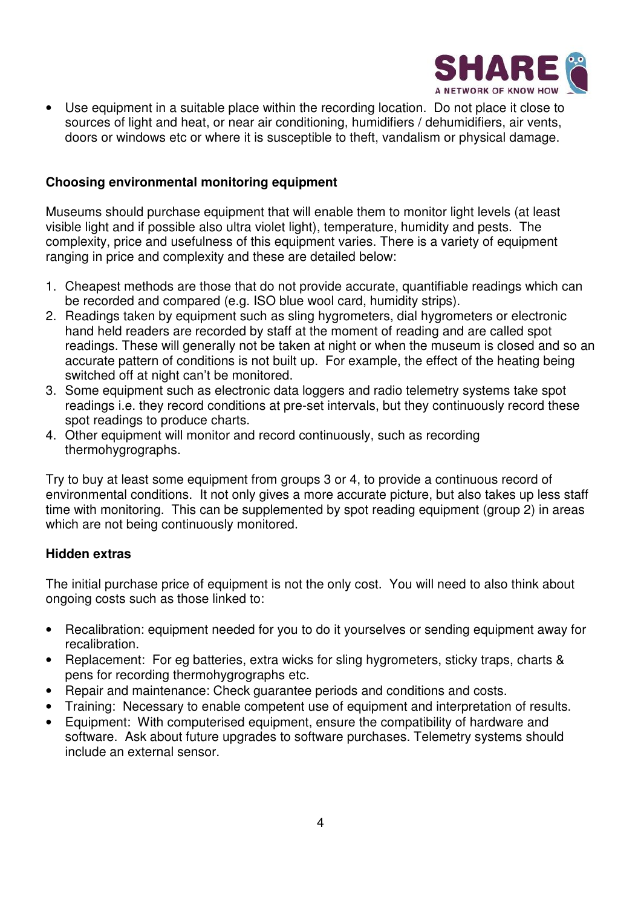

• Use equipment in a suitable place within the recording location. Do not place it close to sources of light and heat, or near air conditioning, humidifiers / dehumidifiers, air vents, doors or windows etc or where it is susceptible to theft, vandalism or physical damage.

### **Choosing environmental monitoring equipment**

Museums should purchase equipment that will enable them to monitor light levels (at least visible light and if possible also ultra violet light), temperature, humidity and pests. The complexity, price and usefulness of this equipment varies. There is a variety of equipment ranging in price and complexity and these are detailed below:

- 1. Cheapest methods are those that do not provide accurate, quantifiable readings which can be recorded and compared (e.g. ISO blue wool card, humidity strips).
- 2. Readings taken by equipment such as sling hygrometers, dial hygrometers or electronic hand held readers are recorded by staff at the moment of reading and are called spot readings. These will generally not be taken at night or when the museum is closed and so an accurate pattern of conditions is not built up. For example, the effect of the heating being switched off at night can't be monitored.
- 3. Some equipment such as electronic data loggers and radio telemetry systems take spot readings i.e. they record conditions at pre-set intervals, but they continuously record these spot readings to produce charts.
- 4. Other equipment will monitor and record continuously, such as recording thermohygrographs.

Try to buy at least some equipment from groups 3 or 4, to provide a continuous record of environmental conditions. It not only gives a more accurate picture, but also takes up less staff time with monitoring. This can be supplemented by spot reading equipment (group 2) in areas which are not being continuously monitored.

### **Hidden extras**

The initial purchase price of equipment is not the only cost. You will need to also think about ongoing costs such as those linked to:

- Recalibration: equipment needed for you to do it yourselves or sending equipment away for recalibration.
- Replacement: For eg batteries, extra wicks for sling hygrometers, sticky traps, charts & pens for recording thermohygrographs etc.
- Repair and maintenance: Check guarantee periods and conditions and costs.
- Training: Necessary to enable competent use of equipment and interpretation of results.
- Equipment: With computerised equipment, ensure the compatibility of hardware and software. Ask about future upgrades to software purchases. Telemetry systems should include an external sensor.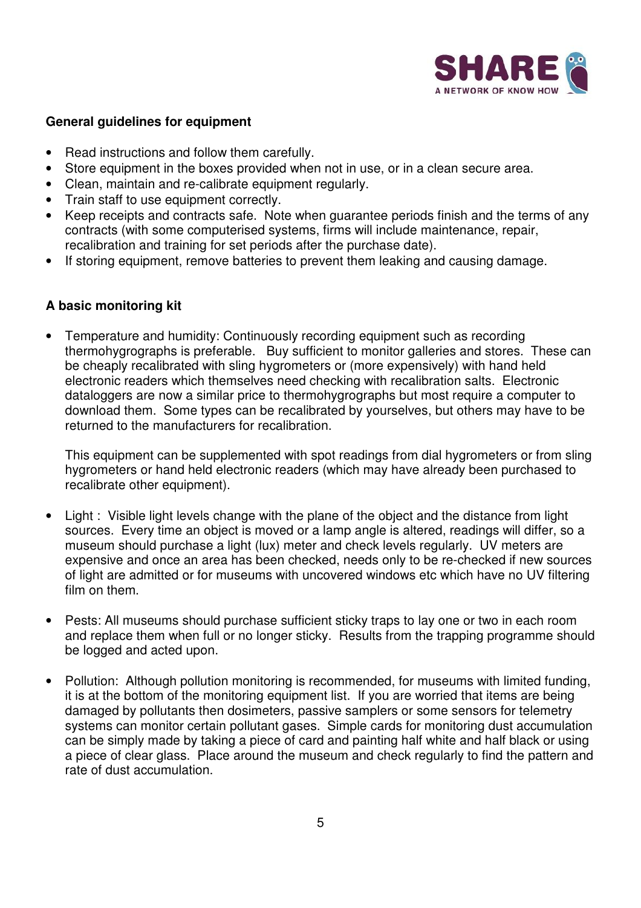

### **General guidelines for equipment**

- Read instructions and follow them carefully.
- Store equipment in the boxes provided when not in use, or in a clean secure area.
- Clean, maintain and re-calibrate equipment regularly.
- Train staff to use equipment correctly.
- Keep receipts and contracts safe. Note when guarantee periods finish and the terms of any contracts (with some computerised systems, firms will include maintenance, repair, recalibration and training for set periods after the purchase date).
- If storing equipment, remove batteries to prevent them leaking and causing damage.

#### **A basic monitoring kit**

• Temperature and humidity: Continuously recording equipment such as recording thermohygrographs is preferable. Buy sufficient to monitor galleries and stores. These can be cheaply recalibrated with sling hygrometers or (more expensively) with hand held electronic readers which themselves need checking with recalibration salts. Electronic dataloggers are now a similar price to thermohygrographs but most require a computer to download them. Some types can be recalibrated by yourselves, but others may have to be returned to the manufacturers for recalibration.

This equipment can be supplemented with spot readings from dial hygrometers or from sling hygrometers or hand held electronic readers (which may have already been purchased to recalibrate other equipment).

- Light : Visible light levels change with the plane of the object and the distance from light sources. Every time an object is moved or a lamp angle is altered, readings will differ, so a museum should purchase a light (lux) meter and check levels regularly. UV meters are expensive and once an area has been checked, needs only to be re-checked if new sources of light are admitted or for museums with uncovered windows etc which have no UV filtering film on them.
- Pests: All museums should purchase sufficient sticky traps to lay one or two in each room and replace them when full or no longer sticky. Results from the trapping programme should be logged and acted upon.
- Pollution: Although pollution monitoring is recommended, for museums with limited funding, it is at the bottom of the monitoring equipment list. If you are worried that items are being damaged by pollutants then dosimeters, passive samplers or some sensors for telemetry systems can monitor certain pollutant gases. Simple cards for monitoring dust accumulation can be simply made by taking a piece of card and painting half white and half black or using a piece of clear glass. Place around the museum and check regularly to find the pattern and rate of dust accumulation.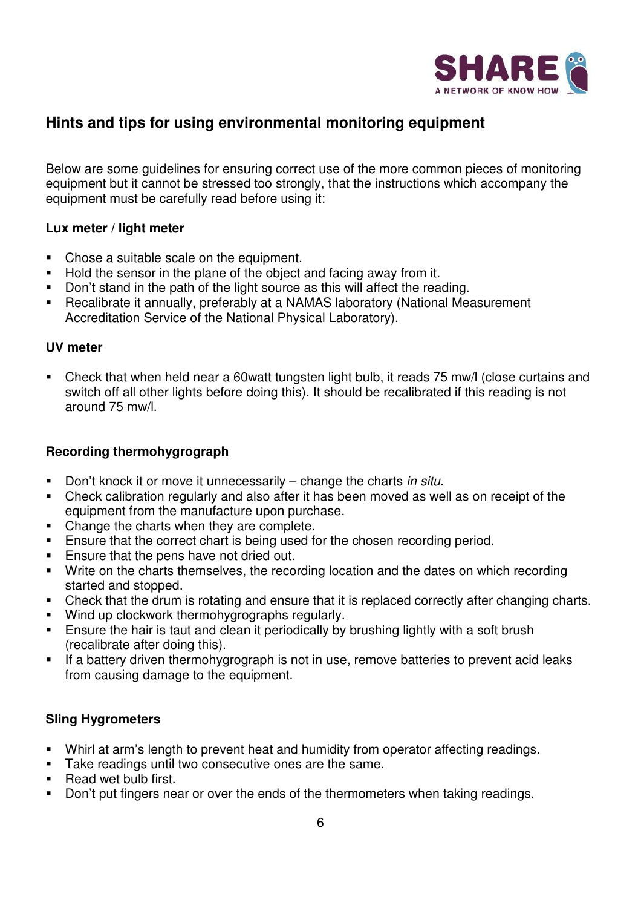

# **Hints and tips for using environmental monitoring equipment**

Below are some guidelines for ensuring correct use of the more common pieces of monitoring equipment but it cannot be stressed too strongly, that the instructions which accompany the equipment must be carefully read before using it:

### **Lux meter / light meter**

- Chose a suitable scale on the equipment.
- Hold the sensor in the plane of the object and facing away from it.
- Don't stand in the path of the light source as this will affect the reading.
- Recalibrate it annually, preferably at a NAMAS laboratory (National Measurement Accreditation Service of the National Physical Laboratory).

#### **UV meter**

 Check that when held near a 60watt tungsten light bulb, it reads 75 mw/l (close curtains and switch off all other lights before doing this). It should be recalibrated if this reading is not around 75 mw/l.

### **Recording thermohygrograph**

- Don't knock it or move it unnecessarily  $-$  change the charts in situ.
- Check calibration regularly and also after it has been moved as well as on receipt of the equipment from the manufacture upon purchase.
- Change the charts when they are complete.
- **Ensure that the correct chart is being used for the chosen recording period.**
- **Ensure that the pens have not dried out.**
- Write on the charts themselves, the recording location and the dates on which recording started and stopped.
- Check that the drum is rotating and ensure that it is replaced correctly after changing charts.
- **Wind up clockwork thermohygrographs regularly.**
- **Ensure the hair is taut and clean it periodically by brushing lightly with a soft brush** (recalibrate after doing this).
- **If a battery driven thermohygrograph is not in use, remove batteries to prevent acid leaks** from causing damage to the equipment.

### **Sling Hygrometers**

- Whirl at arm's length to prevent heat and humidity from operator affecting readings.
- **Take readings until two consecutive ones are the same.**
- Read wet bulb first.
- Don't put fingers near or over the ends of the thermometers when taking readings.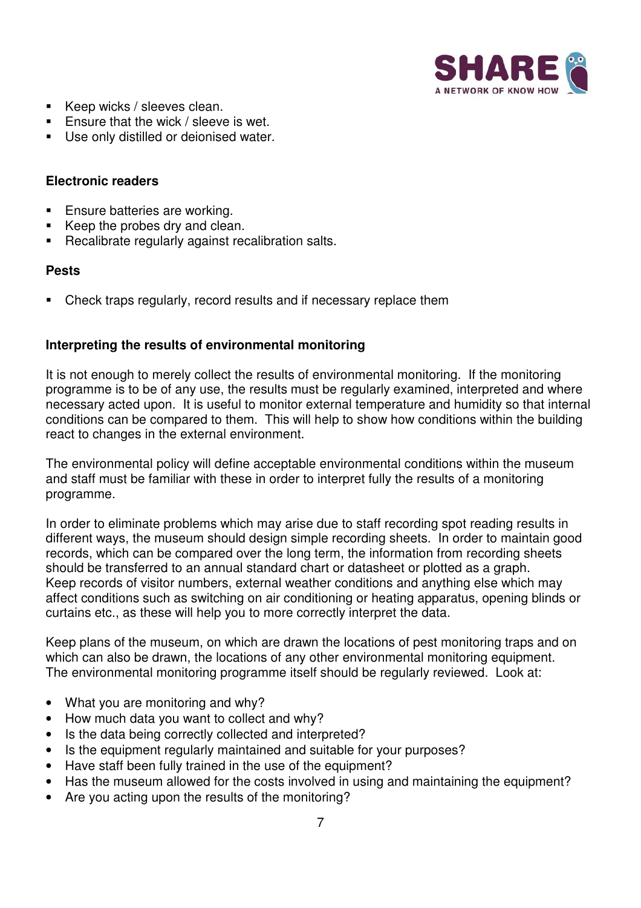

- Keep wicks / sleeves clean.
- **Ensure that the wick / sleeve is wet.**
- **Use only distilled or deionised water.**

### **Electronic readers**

- **Ensure batteries are working.**
- Keep the probes dry and clean.
- Recalibrate regularly against recalibration salts.

#### **Pests**

Check traps regularly, record results and if necessary replace them

### **Interpreting the results of environmental monitoring**

It is not enough to merely collect the results of environmental monitoring. If the monitoring programme is to be of any use, the results must be regularly examined, interpreted and where necessary acted upon. It is useful to monitor external temperature and humidity so that internal conditions can be compared to them. This will help to show how conditions within the building react to changes in the external environment.

The environmental policy will define acceptable environmental conditions within the museum and staff must be familiar with these in order to interpret fully the results of a monitoring programme.

In order to eliminate problems which may arise due to staff recording spot reading results in different ways, the museum should design simple recording sheets. In order to maintain good records, which can be compared over the long term, the information from recording sheets should be transferred to an annual standard chart or datasheet or plotted as a graph. Keep records of visitor numbers, external weather conditions and anything else which may affect conditions such as switching on air conditioning or heating apparatus, opening blinds or curtains etc., as these will help you to more correctly interpret the data.

Keep plans of the museum, on which are drawn the locations of pest monitoring traps and on which can also be drawn, the locations of any other environmental monitoring equipment. The environmental monitoring programme itself should be regularly reviewed. Look at:

- What you are monitoring and why?
- How much data you want to collect and why?
- Is the data being correctly collected and interpreted?
- Is the equipment regularly maintained and suitable for your purposes?
- Have staff been fully trained in the use of the equipment?
- Has the museum allowed for the costs involved in using and maintaining the equipment?
- Are you acting upon the results of the monitoring?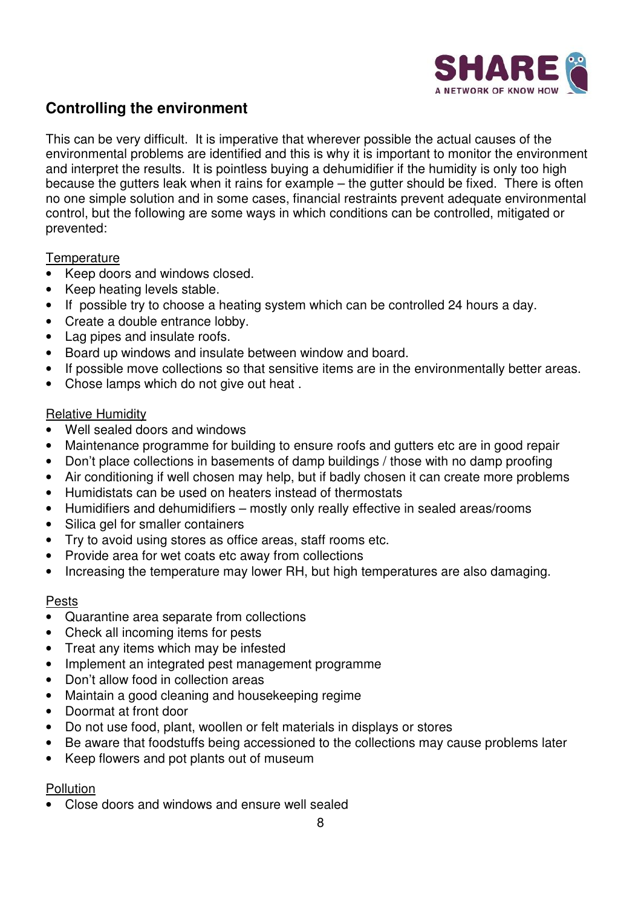

# **Controlling the environment**

This can be very difficult. It is imperative that wherever possible the actual causes of the environmental problems are identified and this is why it is important to monitor the environment and interpret the results. It is pointless buying a dehumidifier if the humidity is only too high because the gutters leak when it rains for example – the gutter should be fixed. There is often no one simple solution and in some cases, financial restraints prevent adequate environmental control, but the following are some ways in which conditions can be controlled, mitigated or prevented:

### **Temperature**

- Keep doors and windows closed.
- Keep heating levels stable.
- If possible try to choose a heating system which can be controlled 24 hours a day.
- Create a double entrance lobby.
- Lag pipes and insulate roofs.
- Board up windows and insulate between window and board.
- If possible move collections so that sensitive items are in the environmentally better areas.
- Chose lamps which do not give out heat .

### Relative Humidity

- Well sealed doors and windows
- Maintenance programme for building to ensure roofs and gutters etc are in good repair
- Don't place collections in basements of damp buildings / those with no damp proofing
- Air conditioning if well chosen may help, but if badly chosen it can create more problems
- Humidistats can be used on heaters instead of thermostats
- Humidifiers and dehumidifiers mostly only really effective in sealed areas/rooms
- Silica gel for smaller containers
- Try to avoid using stores as office areas, staff rooms etc.
- Provide area for wet coats etc away from collections
- Increasing the temperature may lower RH, but high temperatures are also damaging.

### Pests

- Quarantine area separate from collections
- Check all incoming items for pests
- Treat any items which may be infested
- Implement an integrated pest management programme
- Don't allow food in collection areas
- Maintain a good cleaning and housekeeping regime
- Doormat at front door
- Do not use food, plant, woollen or felt materials in displays or stores
- Be aware that foodstuffs being accessioned to the collections may cause problems later
- Keep flowers and pot plants out of museum

## **Pollution**

• Close doors and windows and ensure well sealed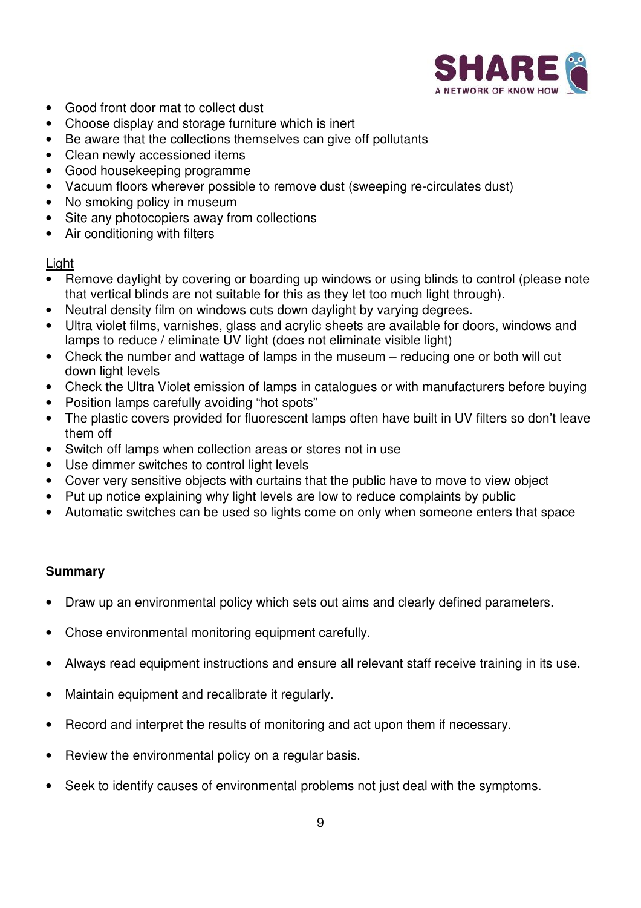

- Good front door mat to collect dust
- Choose display and storage furniture which is inert
- Be aware that the collections themselves can give off pollutants
- Clean newly accessioned items
- Good housekeeping programme
- Vacuum floors wherever possible to remove dust (sweeping re-circulates dust)
- No smoking policy in museum
- Site any photocopiers away from collections
- Air conditioning with filters

### Light

- Remove daylight by covering or boarding up windows or using blinds to control (please note that vertical blinds are not suitable for this as they let too much light through).
- Neutral density film on windows cuts down daylight by varying degrees.
- Ultra violet films, varnishes, glass and acrylic sheets are available for doors, windows and lamps to reduce / eliminate UV light (does not eliminate visible light)
- Check the number and wattage of lamps in the museum reducing one or both will cut down light levels
- Check the Ultra Violet emission of lamps in catalogues or with manufacturers before buying
- Position lamps carefully avoiding "hot spots"
- The plastic covers provided for fluorescent lamps often have built in UV filters so don't leave them off
- Switch off lamps when collection areas or stores not in use
- Use dimmer switches to control light levels
- Cover very sensitive objects with curtains that the public have to move to view object
- Put up notice explaining why light levels are low to reduce complaints by public
- Automatic switches can be used so lights come on only when someone enters that space

## **Summary**

- Draw up an environmental policy which sets out aims and clearly defined parameters.
- Chose environmental monitoring equipment carefully.
- Always read equipment instructions and ensure all relevant staff receive training in its use.
- Maintain equipment and recalibrate it regularly.
- Record and interpret the results of monitoring and act upon them if necessary.
- Review the environmental policy on a regular basis.
- Seek to identify causes of environmental problems not just deal with the symptoms.